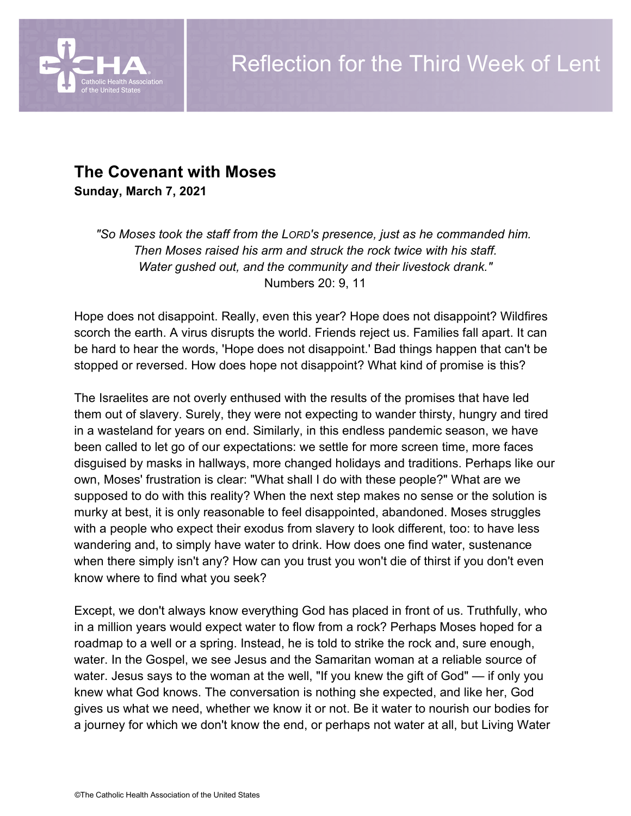

# **The Covenant with Moses**

**Sunday, March 7, 2021**

*"So Moses took the staff from the LORD's presence, just as he commanded him. Then Moses raised his arm and struck the rock twice with his staff. Water gushed out, and the community and their livestock drank."* Numbers 20: 9, 11

Hope does not disappoint. Really, even this year? Hope does not disappoint? Wildfires scorch the earth. A virus disrupts the world. Friends reject us. Families fall apart. It can be hard to hear the words, 'Hope does not disappoint.' Bad things happen that can't be stopped or reversed. How does hope not disappoint? What kind of promise is this?

The Israelites are not overly enthused with the results of the promises that have led them out of slavery. Surely, they were not expecting to wander thirsty, hungry and tired in a wasteland for years on end. Similarly, in this endless pandemic season, we have been called to let go of our expectations: we settle for more screen time, more faces disguised by masks in hallways, more changed holidays and traditions. Perhaps like our own, Moses' frustration is clear: "What shall I do with these people?" What are we supposed to do with this reality? When the next step makes no sense or the solution is murky at best, it is only reasonable to feel disappointed, abandoned. Moses struggles with a people who expect their exodus from slavery to look different, too: to have less wandering and, to simply have water to drink. How does one find water, sustenance when there simply isn't any? How can you trust you won't die of thirst if you don't even know where to find what you seek?

Except, we don't always know everything God has placed in front of us. Truthfully, who in a million years would expect water to flow from a rock? Perhaps Moses hoped for a roadmap to a well or a spring. Instead, he is told to strike the rock and, sure enough, water. In the Gospel, we see Jesus and the Samaritan woman at a reliable source of water. Jesus says to the woman at the well, "If you knew the gift of God" — if only you knew what God knows. The conversation is nothing she expected, and like her, God gives us what we need, whether we know it or not. Be it water to nourish our bodies for a journey for which we don't know the end, or perhaps not water at all, but Living Water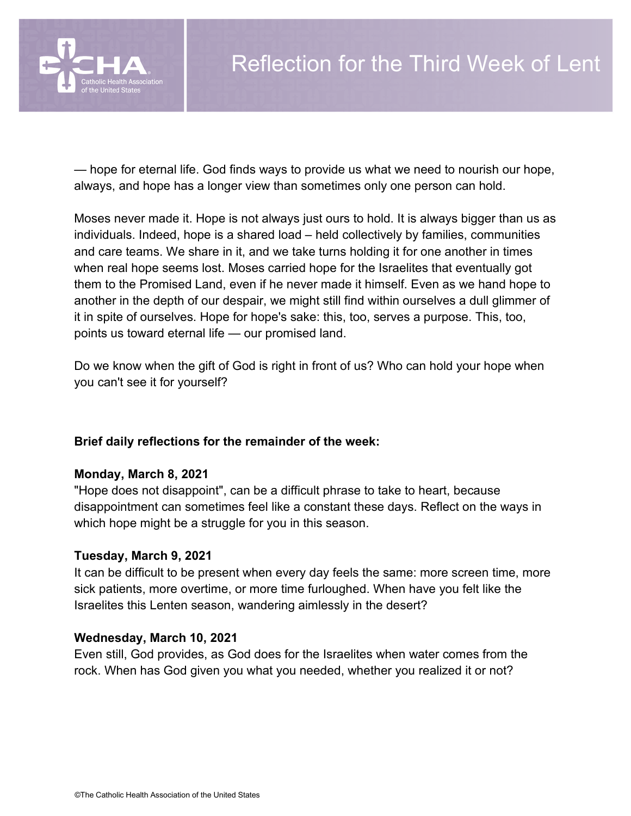

— hope for eternal life. God finds ways to provide us what we need to nourish our hope, always, and hope has a longer view than sometimes only one person can hold.

Moses never made it. Hope is not always just ours to hold. It is always bigger than us as individuals. Indeed, hope is a shared load – held collectively by families, communities and care teams. We share in it, and we take turns holding it for one another in times when real hope seems lost. Moses carried hope for the Israelites that eventually got them to the Promised Land, even if he never made it himself. Even as we hand hope to another in the depth of our despair, we might still find within ourselves a dull glimmer of it in spite of ourselves. Hope for hope's sake: this, too, serves a purpose. This, too, points us toward eternal life — our promised land.

Do we know when the gift of God is right in front of us? Who can hold your hope when you can't see it for yourself?

## **Brief daily reflections for the remainder of the week:**

### **Monday, March 8, 2021**

"Hope does not disappoint", can be a difficult phrase to take to heart, because disappointment can sometimes feel like a constant these days. Reflect on the ways in which hope might be a struggle for you in this season.

### **Tuesday, March 9, 2021**

It can be difficult to be present when every day feels the same: more screen time, more sick patients, more overtime, or more time furloughed. When have you felt like the Israelites this Lenten season, wandering aimlessly in the desert?

### **Wednesday, March 10, 2021**

Even still, God provides, as God does for the Israelites when water comes from the rock. When has God given you what you needed, whether you realized it or not?